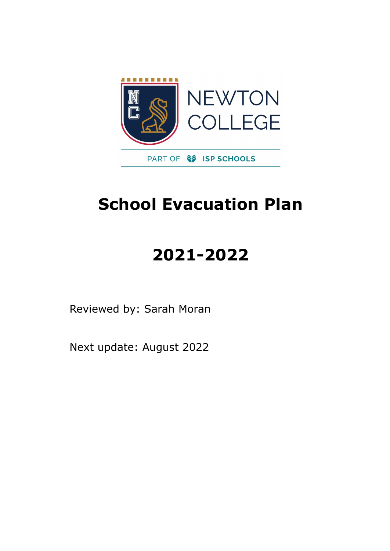

## **School Evacuation Plan**

# **2021-2022**

Reviewed by: Sarah Moran

Next update: August 2022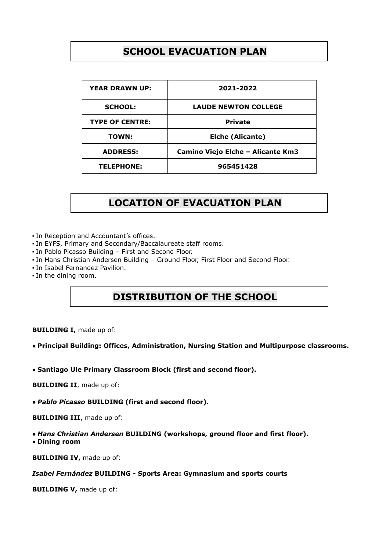## **SCHOOL EVACUATION PLAN**

| <b>YEAR DRAWN UP:</b>  | 2021-2022                         |
|------------------------|-----------------------------------|
| <b>SCHOOL:</b>         | <b>LAUDE NEWTON COLLEGE</b>       |
| <b>TYPE OF CENTRE:</b> | <b>Private</b>                    |
| <b>TOWN:</b>           | <b>Elche (Alicante)</b>           |
| <b>ADDRESS:</b>        | Camino Viejo Elche - Alicante Km3 |
| <b>TELEPHONE:</b>      | 965451428                         |

## **LOCATION OF EVACUATION PLAN**

▪ In Reception and Accountant's offices.

- In EYFS, Primary and Secondary/Baccalaureate staff rooms.
- In Pablo Picasso Building First and Second Floor.
- In Hans Christian Andersen Building Ground Floor, First Floor and Second Floor.
- In Isabel Fernandez Pavilion.
- In the dining room.

## **DISTRIBUTION OF THE SCHOOL**

**BUILDING I,** made up of:

#### ● **Principal Building: Offices, Administration, Nursing Station and Multipurpose classrooms.**

● **Santiago Ule Primary Classroom Block (first and second floor).**

**BUILDING II**, made up of:

● *Pablo Picasso* **BUILDING (first and second floor).**

**BUILDING III**, made up of:

● *Hans Christian Andersen* **BUILDING (workshops, ground floor and first floor).** ● **Dining room**

**BUILDING IV,** made up of:

#### *Isabel Fernández* **BUILDING - Sports Area: Gymnasium and sports courts**

**BUILDING V,** made up of: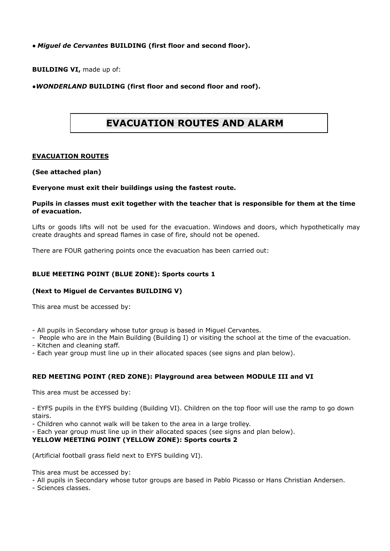#### ● *Miguel de Cervantes* **BUILDING (first floor and second floor).**

**BUILDING VI,** made up of:

#### ●*WONDERLAND* **BUILDING (first floor and second floor and roof).**

## **EVACUATION ROUTES AND ALARM**

#### **EVACUATION ROUTES**

#### **(See attached plan)**

#### **Everyone must exit their buildings using the fastest route.**

#### **Pupils in classes must exit together with the teacher that is responsible for them at the time of evacuation.**

Lifts or goods lifts will not be used for the evacuation. Windows and doors, which hypothetically may create draughts and spread flames in case of fire, should not be opened.

There are FOUR gathering points once the evacuation has been carried out:

#### **BLUE MEETING POINT (BLUE ZONE): Sports courts 1**

#### **(Next to Miguel de Cervantes BUILDING V)**

This area must be accessed by:

- All pupils in Secondary whose tutor group is based in Miguel Cervantes.

- People who are in the Main Building (Building I) or visiting the school at the time of the evacuation.

- Kitchen and cleaning staff.

- Each year group must line up in their allocated spaces (see signs and plan below).

#### **RED MEETING POINT (RED ZONE): Playground area between MODULE III and VI**

This area must be accessed by:

- EYFS pupils in the EYFS building (Building VI). Children on the top floor will use the ramp to go down stairs.

- Children who cannot walk will be taken to the area in a large trolley.

- Each year group must line up in their allocated spaces (see signs and plan below).

#### **YELLOW MEETING POINT (YELLOW ZONE): Sports courts 2**

(Artificial football grass field next to EYFS building VI).

This area must be accessed by:

- All pupils in Secondary whose tutor groups are based in Pablo Picasso or Hans Christian Andersen.

- Sciences classes.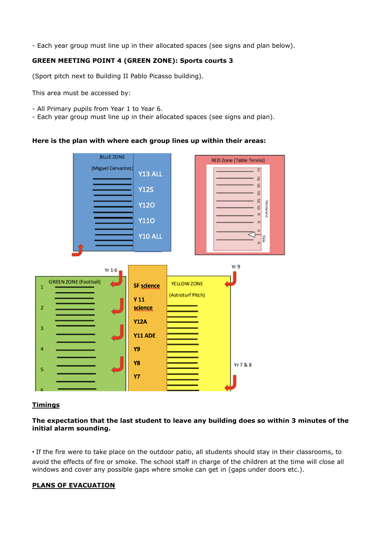- Each year group must line up in their allocated spaces (see signs and plan below).

#### **GREEN MEETING POINT 4 (GREEN ZONE): Sports courts 3**

(Sport pitch next to Building II Pablo Picasso building).

This area must be accessed by:

- All Primary pupils from Year 1 to Year 6.
- Each year group must line up in their allocated spaces (see signs and plan).

#### **Here is the plan with where each group lines up within their areas:**



#### **Timings**

#### **The expectation that the last student to leave any building does so within 3 minutes of the initial alarm sounding.**

• If the fire were to take place on the outdoor patio, all students should stay in their classrooms, to avoid the effects of fire or smoke. The school staff in charge of the children at the time will close all windows and cover any possible gaps where smoke can get in (gaps under doors etc.).

#### **PLANS OF EVACUATION**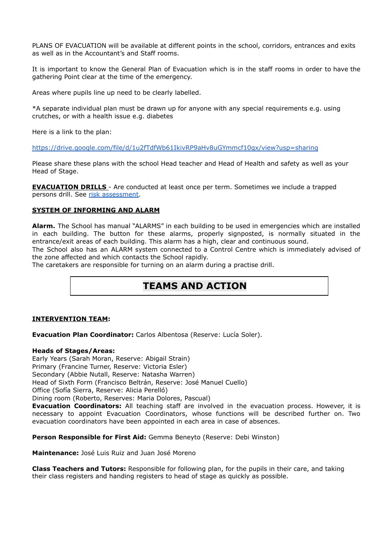PLANS OF EVACUATION will be available at different points in the school, corridors, entrances and exits as well as in the Accountant's and Staff rooms.

It is important to know the General Plan of Evacuation which is in the staff rooms in order to have the gathering Point clear at the time of the emergency.

Areas where pupils line up need to be clearly labelled.

\*A separate individual plan must be drawn up for anyone with any special requirements e.g. using crutches, or with a health issue e.g. diabetes

Here is a link to the plan:

<https://drive.google.com/file/d/1u2fTdfWb61IkivRP9aHv8uGYmmcf10qx/view?usp=sharing>

Please share these plans with the school Head teacher and Head of Health and safety as well as your Head of Stage.

**EVACUATION DRILLS** - Are conducted at least once per term. Sometimes we include a trapped persons drill. See risk [assessment.](https://docs.google.com/document/d/1YHeLdgd04kw6YPIzog3zTzU1Yum2UF8NkaNqGmxgugo/edit?usp=sharing)

#### **SYSTEM OF INFORMING AND ALARM**

**Alarm.** The School has manual "ALARMS" in each building to be used in emergencies which are installed in each building. The button for these alarms, properly signposted, is normally situated in the entrance/exit areas of each building. This alarm has a high, clear and continuous sound.

The School also has an ALARM system connected to a Control Centre which is immediately advised of the zone affected and which contacts the School rapidly.

The caretakers are responsible for turning on an alarm during a practise drill.

## **TEAMS AND ACTION**

#### **INTERVENTION TEAM:**

**Evacuation Plan Coordinator:** Carlos Albentosa (Reserve: Lucía Soler).

#### **Heads of Stages/Areas:**

Early Years (Sarah Moran, Reserve: Abigail Strain) Primary (Francine Turner, Reserve: Victoria Esler) Secondary (Abbie Nutall, Reserve: Natasha Warren) Head of Sixth Form (Francisco Beltrán, Reserve: José Manuel Cuello) Office (Sofía Sierra, Reserve: Alicia Perelló) Dining room (Roberto, Reserves: Maria Dolores, Pascual) **Evacuation Coordinators:** All teaching staff are involved in the evacuation process. However, it is

necessary to appoint Evacuation Coordinators, whose functions will be described further on. Two evacuation coordinators have been appointed in each area in case of absences.

**Person Responsible for First Aid:** Gemma Beneyto (Reserve: Debi Winston)

**Maintenance:** José Luis Ruiz and Juan José Moreno

**Class Teachers and Tutors:** Responsible for following plan, for the pupils in their care, and taking their class registers and handing registers to head of stage as quickly as possible.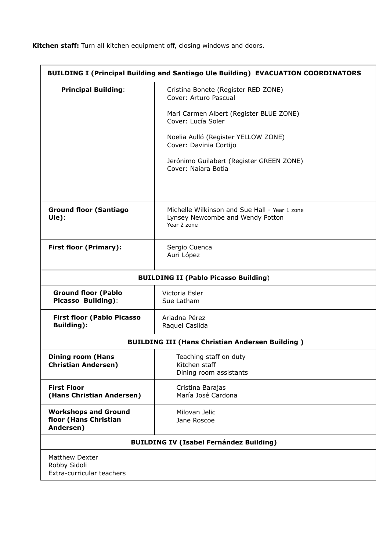**Kitchen staff:** Turn all kitchen equipment off, closing windows and doors.

| <b>BUILDING I (Principal Building and Santiago Ule Building) EVACUATION COORDINATORS</b> |                                                                                                  |  |
|------------------------------------------------------------------------------------------|--------------------------------------------------------------------------------------------------|--|
| <b>Principal Building:</b>                                                               | Cristina Bonete (Register RED ZONE)<br>Cover: Arturo Pascual                                     |  |
|                                                                                          | Mari Carmen Albert (Register BLUE ZONE)<br>Cover: Lucía Soler                                    |  |
|                                                                                          | Noelia Aulló (Register YELLOW ZONE)<br>Cover: Davinia Cortijo                                    |  |
|                                                                                          | Jerónimo Guilabert (Register GREEN ZONE)<br>Cover: Naiara Botia                                  |  |
|                                                                                          |                                                                                                  |  |
| <b>Ground floor (Santiago</b><br>Ule):                                                   | Michelle Wilkinson and Sue Hall - Year 1 zone<br>Lynsey Newcombe and Wendy Potton<br>Year 2 zone |  |
| <b>First floor (Primary):</b>                                                            | Sergio Cuenca<br>Auri López                                                                      |  |
| <b>BUILDING II (Pablo Picasso Building)</b>                                              |                                                                                                  |  |
| <b>Ground floor (Pablo</b><br>Picasso Building):                                         | Victoria Esler<br>Sue Latham                                                                     |  |
| <b>First floor (Pablo Picasso</b><br><b>Building</b> ):                                  | Ariadna Pérez<br>Raquel Casilda                                                                  |  |
| <b>BUILDING III (Hans Christian Andersen Building)</b>                                   |                                                                                                  |  |
| <b>Dining room (Hans</b><br><b>Christian Andersen)</b>                                   | Teaching staff on duty<br>Kitchen staff<br>Dining room assistants                                |  |
| <b>First Floor</b><br>(Hans Christian Andersen)                                          | Cristina Barajas<br>María José Cardona                                                           |  |
| <b>Workshops and Ground</b><br>floor (Hans Christian<br>Andersen)                        | Milovan Jelic<br>Jane Roscoe                                                                     |  |
| <b>BUILDING IV (Isabel Fernández Building)</b>                                           |                                                                                                  |  |
| <b>Matthew Dexter</b><br>Robby Sidoli<br>Extra-curricular teachers                       |                                                                                                  |  |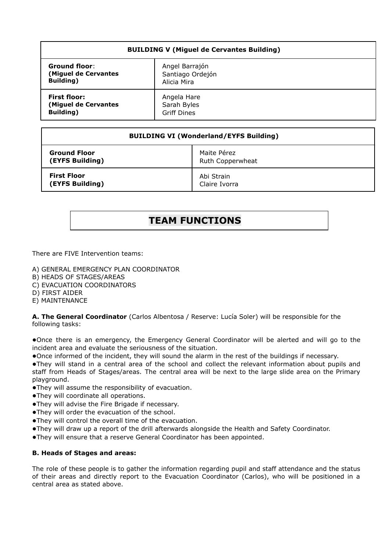| <b>BUILDING V (Miguel de Cervantes Building)</b> |                    |  |
|--------------------------------------------------|--------------------|--|
| <b>Ground floor:</b>                             | Angel Barrajón     |  |
| (Miguel de Cervantes                             | Santiago Ordejón   |  |
| Building)                                        | Alicia Mira        |  |
| <b>First floor:</b>                              | Angela Hare        |  |
| (Miguel de Cervantes                             | Sarah Byles        |  |
| Building)                                        | <b>Griff Dines</b> |  |

| <b>BUILDING VI (Wonderland/EYFS Building)</b> |                  |  |
|-----------------------------------------------|------------------|--|
| <b>Ground Floor</b>                           | Maite Pérez      |  |
| (EYFS Building)                               | Ruth Copperwheat |  |
| <b>First Floor</b>                            | Abi Strain       |  |
| (EYFS Building)                               | Claire Ivorra    |  |

## **TEAM FUNCTIONS**

There are FIVE Intervention teams:

- A) GENERAL EMERGENCY PLAN COORDINATOR
- B) HEADS OF STAGES/AREAS
- C) EVACUATION COORDINATORS
- D) FIRST AIDER
- E) MAINTENANCE

**A. The General Coordinator** (Carlos Albentosa / Reserve: Lucía Soler) will be responsible for the following tasks:

●Once there is an emergency, the Emergency General Coordinator will be alerted and will go to the incident area and evaluate the seriousness of the situation.

●Once informed of the incident, they will sound the alarm in the rest of the buildings if necessary.

●They will stand in a central area of the school and collect the relevant information about pupils and staff from Heads of Stages/areas. The central area will be next to the large slide area on the Primary playground.

- ●They will assume the responsibility of evacuation.
- ●They will coordinate all operations.
- ●They will advise the Fire Brigade if necessary.
- ●They will order the evacuation of the school.
- ●They will control the overall time of the evacuation.
- ●They will draw up a report of the drill afterwards alongside the Health and Safety Coordinator.
- ●They will ensure that a reserve General Coordinator has been appointed.

#### **B. Heads of Stages and areas:**

The role of these people is to gather the information regarding pupil and staff attendance and the status of their areas and directly report to the Evacuation Coordinator (Carlos), who will be positioned in a central area as stated above.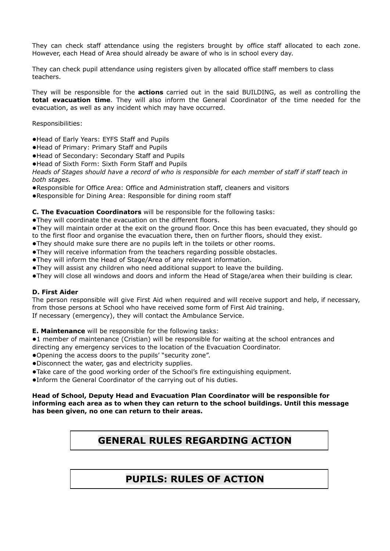They can check staff attendance using the registers brought by office staff allocated to each zone. However, each Head of Area should already be aware of who is in school every day.

They can check pupil attendance using registers given by allocated office staff members to class teachers.

They will be responsible for the **actions** carried out in the said BUILDING, as well as controlling the **total evacuation time**. They will also inform the General Coordinator of the time needed for the evacuation, as well as any incident which may have occurred.

Responsibilities:

- ●Head of Early Years: EYFS Staff and Pupils
- ●Head of Primary: Primary Staff and Pupils
- ●Head of Secondary: Secondary Staff and Pupils
- ●Head of Sixth Form: Sixth Form Staff and Pupils

Heads of Stages should have a record of who is responsible for each member of staff if staff teach in *both stages.*

- ●Responsible for Office Area: Office and Administration staff, cleaners and visitors
- ●Responsible for Dining Area: Responsible for dining room staff

#### **C. The Evacuation Coordinators** will be responsible for the following tasks:

●They will coordinate the evacuation on the different floors.

●They will maintain order at the exit on the ground floor. Once this has been evacuated, they should go to the first floor and organise the evacuation there, then on further floors, should they exist.

- ●They should make sure there are no pupils left in the toilets or other rooms.
- ●They will receive information from the teachers regarding possible obstacles.
- ●They will inform the Head of Stage/Area of any relevant information.
- ●They will assist any children who need additional support to leave the building.
- ●They will close all windows and doors and inform the Head of Stage/area when their building is clear.

#### **D. First Aider**

The person responsible will give First Aid when required and will receive support and help, if necessary, from those persons at School who have received some form of First Aid training. If necessary (emergency), they will contact the Ambulance Service.

**E. Maintenance** will be responsible for the following tasks:

●1 member of maintenance (Cristian) will be responsible for waiting at the school entrances and directing any emergency services to the location of the Evacuation Coordinator.

●Opening the access doors to the pupils' "security zone".

- ●Disconnect the water, gas and electricity supplies.
- ●Take care of the good working order of the School's fire extinguishing equipment.
- ●Inform the General Coordinator of the carrying out of his duties.

#### **Head of School, Deputy Head and Evacuation Plan Coordinator will be responsible for informing each area as to when they can return to the school buildings. Until this message has been given, no one can return to their areas.**

## **GENERAL RULES REGARDING ACTION**

## **PUPILS: RULES OF ACTION**